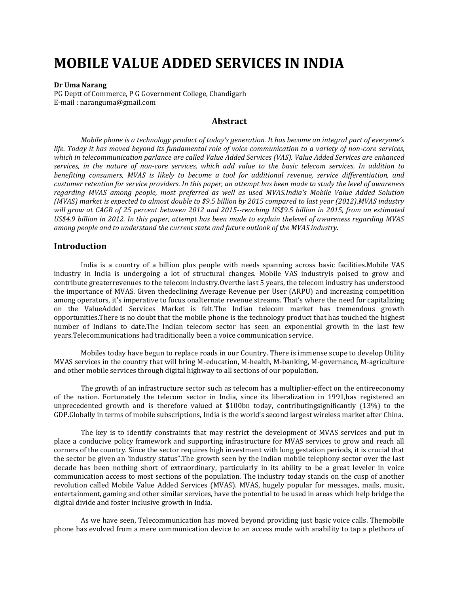# **MOBILE VALUE ADDED SERVICES IN INDIA**

#### **Dr Uma Narang**

PG Deptt of Commerce, P G Government College, Chandigarh E-mail : naranguma@gmail.com

# **Abstract**

*Mobile phone is a technology product of today's generation. It has become an integral part of everyone's life. Today it has moved beyond its fundamental role of voice communication to a variety of non-core services, which in telecommunication parlance are called Value Added Services (VAS). Value Added Services are enhanced services, in the nature of non-core services, which add value to the basic telecom services. In addition to benefiting consumers, MVAS is likely to become a tool for additional revenue, service differentiation, and customer retention for service providers. In this paper, an attempt has been made to study the level of awareness regarding MVAS among people, most preferred as well as used MVAS.India's Mobile Value Added Solution (MVAS) market is expected to almost double to \$9.5 billion by 2015 compared to last year (2012).MVAS industry will grow at CAGR of 25 percent between 2012 and 2015--reaching US\$9.5 billion in 2015, from an estimated US\$4.9 billion in 2012. In this paper, attempt has been made to explain thelevel of awareness regarding MVAS among people and to understand the current state and future outlook of the MVAS industry.*

#### **Introduction**

India is a country of a billion plus people with needs spanning across basic facilities.Mobile VAS industry in India is undergoing a lot of structural changes. Mobile VAS industryis poised to grow and contribute greaterrevenues to the telecom industry.Overthe last 5 years, the telecom industry has understood the importance of MVAS. Given thedeclining Average Revenue per User (ARPU) and increasing competition among operators, it's imperative to focus onalternate revenue streams. That's where the need for capitalizing on the ValueAdded Services Market is felt.The Indian telecom market has tremendous growth opportunities.There is no doubt that the mobile phone is the technology product that has touched the highest number of Indians to date.The Indian telecom sector has seen an exponential growth in the last few years.Telecommunications had traditionally been a voice communication service.

Mobiles today have begun to replace roads in our Country. There is immense scope to develop Utility MVAS services in the country that will bring M-education, M-health, M-banking, M-governance, M-agriculture and other mobile services through digital highway to all sections of our population.

The growth of an infrastructure sector such as telecom has a multiplier-effect on the entireeconomy of the nation. Fortunately the telecom sector in India, since its liberalization in 1991,has registered an unprecedented growth and is therefore valued at \$100bn today, contributingsignificantly (13%) to the GDP.Globally in terms of mobile subscriptions, India is the world's second largest wireless market after China.

The key is to identify constraints that may restrict the development of MVAS services and put in place a conducive policy framework and supporting infrastructure for MVAS services to grow and reach all corners of the country. Since the sector requires high investment with long gestation periods, it is crucial that the sector be given an 'industry status".The growth seen by the Indian mobile telephony sector over the last decade has been nothing short of extraordinary, particularly in its ability to be a great leveler in voice communication access to most sections of the population. The industry today stands on the cusp of another revolution called Mobile Value Added Services (MVAS). MVAS, hugely popular for messages, mails, music, entertainment, gaming and other similar services, have the potential to be used in areas which help bridge the digital divide and foster inclusive growth in India.

As we have seen, Telecommunication has moved beyond providing just basic voice calls. Themobile phone has evolved from a mere communication device to an access mode with anability to tap a plethora of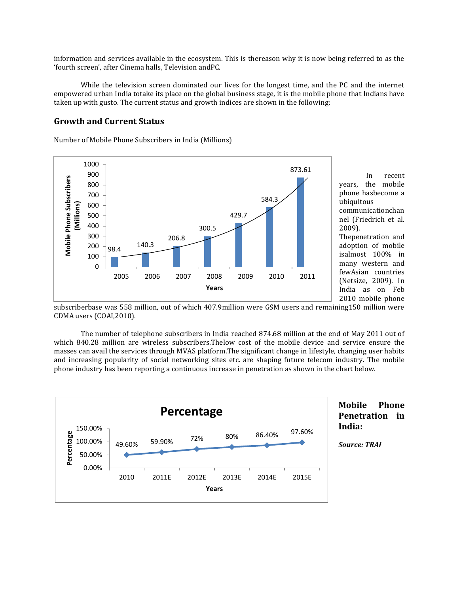information and services available in the ecosystem. This is thereason why it is now being referred to as the 'fourth screen', after Cinema halls, Television andPC.

While the television screen dominated our lives for the longest time, and the PC and the internet empowered urban India totake its place on the global business stage, it is the mobile phone that Indians have taken up with gusto. The current status and growth indices are shown in the following:

# **Growth and Current Status**

Number of Mobile Phone Subscribers in India (Millions)



In recent years, the mobile phone hasbecome a ubiquitous communicationchan nel (Friedrich et al. 2009). Thepenetration and

adoption of mobile isalmost 100% in many western and fewAsian countries (Netsize, 2009). In India as on Feb 2010 mobile phone

subscriberbase was 558 million, out of which 407.9million were GSM users and remaining150 million were CDMA users (COAI,2010).

The number of telephone subscribers in India reached 874.68 million at the end of May 2011 out of which 840.28 million are wireless subscribers.Thelow cost of the mobile device and service ensure the masses can avail the services through MVAS platform.The significant change in lifestyle, changing user habits and increasing popularity of social networking sites etc. are shaping future telecom industry. The mobile phone industry has been reporting a continuous increase in penetration as shown in the chart below.



# **Mobile Phone Penetration in India:**

*Source: TRAI*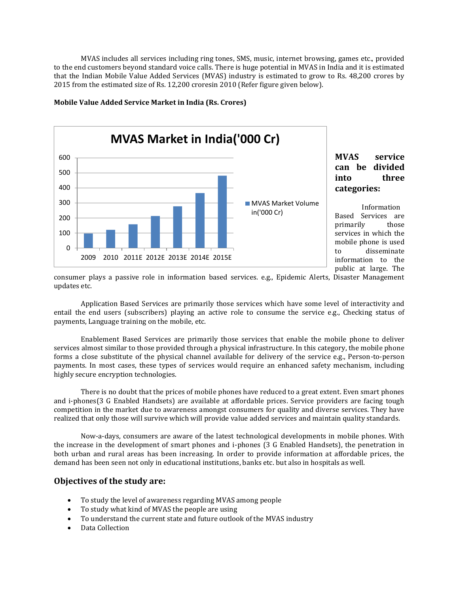MVAS includes all services including ring tones, SMS, music, internet browsing, games etc., provided to the end customers beyond standard voice calls. There is huge potential in MVAS in India and it is estimated that the Indian Mobile Value Added Services (MVAS) industry is estimated to grow to Rs. 48,200 crores by 2015 from the estimated size of Rs. 12,200 croresin 2010 (Refer figure given below).



#### **Mobile Value Added Service Market in India (Rs. Crores)**

**MVAS service can be divided into three categories:**

Information Based Services are primarily those services in which the mobile phone is used to disseminate information to the public at large. The

consumer plays a passive role in information based services. e.g., Epidemic Alerts, Disaster Management updates etc.

Application Based Services are primarily those services which have some level of interactivity and entail the end users (subscribers) playing an active role to consume the service e.g., Checking status of payments, Language training on the mobile, etc.

Enablement Based Services are primarily those services that enable the mobile phone to deliver services almost similar to those provided through a physical infrastructure. In this category, the mobile phone forms a close substitute of the physical channel available for delivery of the service e.g., Person-to-person payments. In most cases, these types of services would require an enhanced safety mechanism, including highly secure encryption technologies.

There is no doubt that the prices of mobile phones have reduced to a great extent. Even smart phones and i-phones(3 G Enabled Handsets) are available at affordable prices. Service providers are facing tough competition in the market due to awareness amongst consumers for quality and diverse services. They have realized that only those will survive which will provide value added services and maintain quality standards.

Now-a-days, consumers are aware of the latest technological developments in mobile phones. With the increase in the development of smart phones and i-phones (3 G Enabled Handsets), the penetration in both urban and rural areas has been increasing. In order to provide information at affordable prices, the demand has been seen not only in educational institutions, banks etc. but also in hospitals as well.

# **Objectives of the study are:**

- To study the level of awareness regarding MVAS among people
- To study what kind of MVAS the people are using
- To understand the current state and future outlook of the MVAS industry
- Data Collection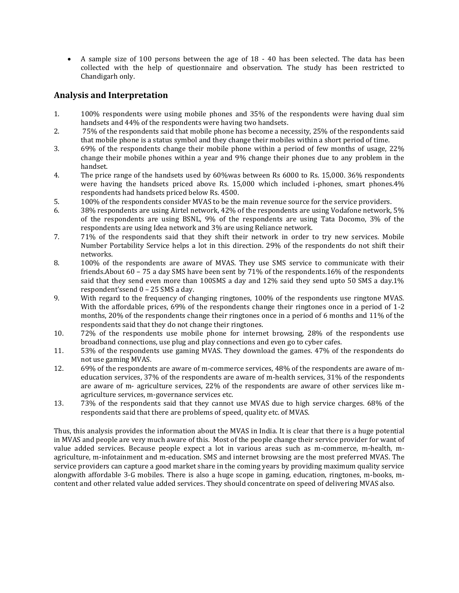A sample size of 100 persons between the age of 18 - 40 has been selected. The data has been collected with the help of questionnaire and observation. The study has been restricted to Chandigarh only.

# **Analysis and Interpretation**

- 1. 100% respondents were using mobile phones and 35% of the respondents were having dual sim handsets and 44% of the respondents were having two handsets.
- 2. 75% of the respondents said that mobile phone has become a necessity, 25% of the respondents said that mobile phone is a status symbol and they change their mobiles within a short period of time.
- 3. 69% of the respondents change their mobile phone within a period of few months of usage, 22% change their mobile phones within a year and 9% change their phones due to any problem in the handset.
- 4. The price range of the handsets used by 60%was between Rs 6000 to Rs. 15,000. 36% respondents were having the handsets priced above Rs. 15,000 which included i-phones, smart phones.4% respondents had handsets priced below Rs. 4500.
- 5. 100% of the respondents consider MVAS to be the main revenue source for the service providers.
- 6. 38% respondents are using Airtel network, 42% of the respondents are using Vodafone network, 5% of the respondents are using BSNL, 9% of the respondents are using Tata Docomo, 3% of the respondents are using Idea network and 3% are using Reliance network.
- 7. 71% of the respondents said that they shift their network in order to try new services. Mobile Number Portability Service helps a lot in this direction. 29% of the respondents do not shift their networks.
- 8. 100% of the respondents are aware of MVAS. They use SMS service to communicate with their friends.About 60 – 75 a day SMS have been sent by 71% of the respondents.16% of the respondents said that they send even more than 100SMS a day and 12% said they send upto 50 SMS a day.1% respondent'ssend 0 – 25 SMS a day.
- 9. With regard to the frequency of changing ringtones, 100% of the respondents use ringtone MVAS. With the affordable prices, 69% of the respondents change their ringtones once in a period of 1-2 months, 20% of the respondents change their ringtones once in a period of 6 months and 11% of the respondents said that they do not change their ringtones.
- 10. 72% of the respondents use mobile phone for internet browsing, 28% of the respondents use broadband connections, use plug and play connections and even go to cyber cafes.
- 11. 53% of the respondents use gaming MVAS. They download the games. 47% of the respondents do not use gaming MVAS.
- 12. 69% of the respondents are aware of m-commerce services, 48% of the respondents are aware of meducation services, 37% of the respondents are aware of m-health services, 31% of the respondents are aware of m- agriculture services, 22% of the respondents are aware of other services like magriculture services, m-governance services etc.
- 13. 73% of the respondents said that they cannot use MVAS due to high service charges. 68% of the respondents said that there are problems of speed, quality etc. of MVAS.

Thus, this analysis provides the information about the MVAS in India. It is clear that there is a huge potential in MVAS and people are very much aware of this. Most of the people change their service provider for want of value added services. Because people expect a lot in various areas such as m-commerce, m-health, magriculture, m-infotainment and m-education. SMS and internet browsing are the most preferred MVAS. The service providers can capture a good market share in the coming years by providing maximum quality service alongwith affordable 3-G mobiles. There is also a huge scope in gaming, education, ringtones, m-books, mcontent and other related value added services. They should concentrate on speed of delivering MVAS also.